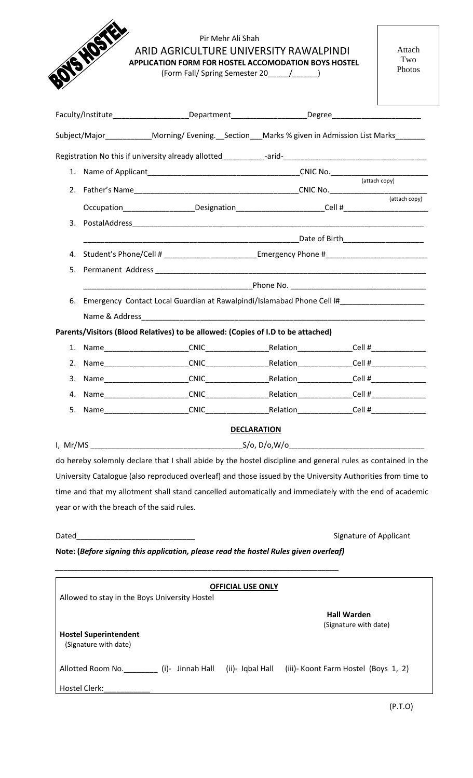| VSHO       | Pir Mehr Ali Shah<br>ARID AGRICULTURE UNIVERSITY RAWALPINDI<br>APPLICATION FORM FOR HOSTEL ACCOMODATION BOYS HOSTEL<br>(Form Fall/ Spring Semester 20______/________) |                                                                                  |  | Attach<br>Two<br>Photos |  |
|------------|-----------------------------------------------------------------------------------------------------------------------------------------------------------------------|----------------------------------------------------------------------------------|--|-------------------------|--|
|            |                                                                                                                                                                       |                                                                                  |  |                         |  |
|            | Subject/Major_____________Morning/Evening.__Section___Marks % given in Admission List Marks_______                                                                    |                                                                                  |  |                         |  |
|            |                                                                                                                                                                       |                                                                                  |  |                         |  |
|            |                                                                                                                                                                       |                                                                                  |  |                         |  |
|            |                                                                                                                                                                       |                                                                                  |  |                         |  |
|            | Occupation_____________________Designation_________________________Cell #__________________________                                                                   |                                                                                  |  |                         |  |
|            |                                                                                                                                                                       |                                                                                  |  |                         |  |
|            |                                                                                                                                                                       |                                                                                  |  |                         |  |
| 4.         | Student's Phone/Cell # ___________________________Emergency Phone #________________________________                                                                   |                                                                                  |  |                         |  |
| 5.         |                                                                                                                                                                       |                                                                                  |  |                         |  |
|            |                                                                                                                                                                       |                                                                                  |  |                         |  |
| 6.         | Emergency Contact Local Guardian at Rawalpindi/Islamabad Phone Cell I#                                                                                                |                                                                                  |  |                         |  |
|            |                                                                                                                                                                       |                                                                                  |  |                         |  |
|            | Parents/Visitors (Blood Relatives) to be allowed: (Copies of I.D to be attached)                                                                                      |                                                                                  |  |                         |  |
|            | 1. Name CNIC Relation Cell #                                                                                                                                          |                                                                                  |  |                         |  |
| 2.         | CNIC                                                                                                                                                                  | _Relation_________________Cell #________________                                 |  |                         |  |
| 3.<br>Name |                                                                                                                                                                       | _CNIC_______________________________Relation__________________Cell #____________ |  |                         |  |
| 4.         |                                                                                                                                                                       | _CNIC______________________________Relation__________________Cell #_____________ |  |                         |  |
| 5.         |                                                                                                                                                                       |                                                                                  |  |                         |  |
|            |                                                                                                                                                                       | <b>DECLARATION</b>                                                               |  |                         |  |
|            |                                                                                                                                                                       |                                                                                  |  |                         |  |

do hereby solemnly declare that I shall abide by the hostel discipline and general rules as contained in the University Catalogue (also reproduced overleaf) and those issued by the University Authorities from time to time and that my allotment shall stand cancelled automatically and immediately with the end of academic year or with the breach of the said rules.

Dated\_\_\_\_\_\_\_\_\_\_\_\_\_\_\_\_\_\_\_\_\_\_\_\_\_\_\_\_ Signature of Applicant

**Note: (***Before signing this application, please read the hostel Rules given overleaf)*

*\_\_\_\_\_\_\_\_\_\_\_\_\_\_\_\_\_\_\_\_\_\_\_\_\_\_\_\_\_\_\_\_\_\_\_\_\_\_\_\_\_\_\_\_\_\_\_\_\_\_\_\_\_\_\_\_\_\_\_\_\_\_\_\_\_\_\_*

| <b>OFFICIAL USE ONLY</b>                              |                  |                                      |  |  |  |
|-------------------------------------------------------|------------------|--------------------------------------|--|--|--|
| Allowed to stay in the Boys University Hostel         |                  |                                      |  |  |  |
|                                                       |                  | <b>Hall Warden</b>                   |  |  |  |
| <b>Hostel Superintendent</b><br>(Signature with date) |                  | (Signature with date)                |  |  |  |
| Allotted Room No.<br>(i)- Jinnah Hall                 | (ii)- Iqbal Hall | (iii)- Koont Farm Hostel (Boys 1, 2) |  |  |  |
| Hostel Clerk:                                         |                  |                                      |  |  |  |